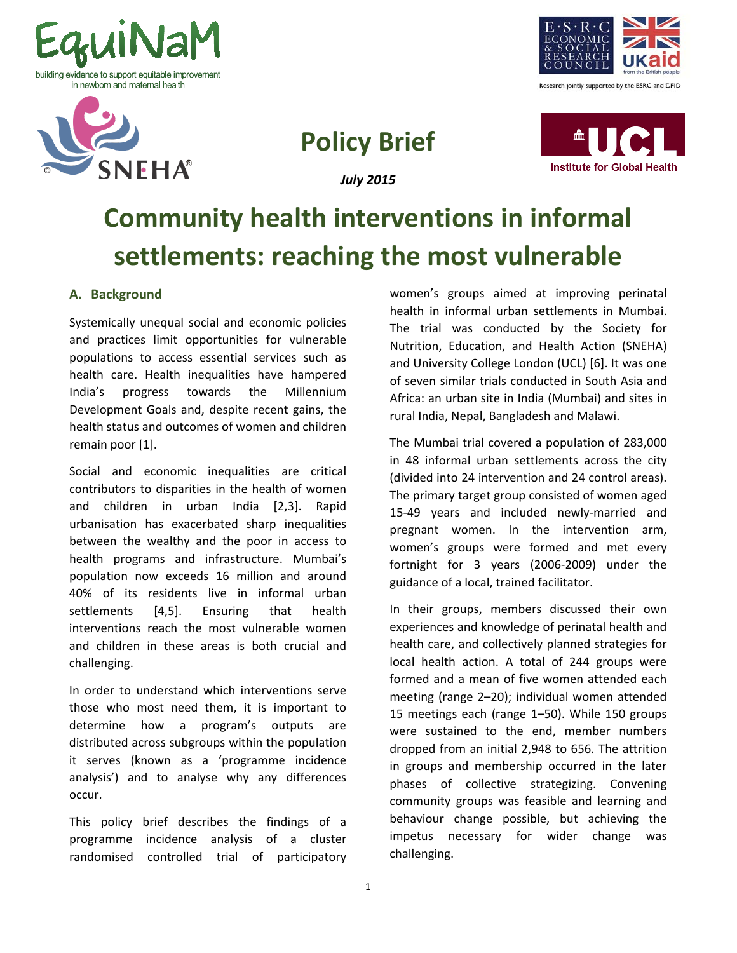





# **Policy Brief**

*July 2015*



# **Community health interventions in informal settlements: reaching the most vulnerable**

# **A. Background**

Systemically unequal social and economic policies and practices limit opportunities for vulnerable populations to access essential services such as health care. Health inequalities have hampered India's progress towards the Millennium Development Goals and, despite recent gains, the health status and outcomes of women and children remain poor [1].

Social and economic inequalities are critical contributors to disparities in the health of women and children in urban India [2,3]. Rapid urbanisation has exacerbated sharp inequalities between the wealthy and the poor in access to health programs and infrastructure. Mumbai's population now exceeds 16 million and around 40% of its residents live in informal urban settlements [4,5]. Ensuring that health interventions reach the most vulnerable women and children in these areas is both crucial and challenging.

In order to understand which interventions serve those who most need them, it is important to determine how a program's outputs are distributed across subgroups within the population it serves (known as a 'programme incidence analysis') and to analyse why any differences occur.

This policy brief describes the findings of a programme incidence analysis of a cluster randomised controlled trial of participatory

women's groups aimed at improving perinatal health in informal urban settlements in Mumbai. The trial was conducted by the Society for Nutrition, Education, and Health Action (SNEHA) and University College London (UCL) [6]. It was one of seven similar trials conducted in South Asia and Africa: an urban site in India (Mumbai) and sites in rural India, Nepal, Bangladesh and Malawi.

The Mumbai trial covered a population of 283,000 in 48 informal urban settlements across the city (divided into 24 intervention and 24 control areas). The primary target group consisted of women aged 15-49 years and included newly-married and pregnant women. In the intervention arm, women's groups were formed and met every fortnight for 3 years (2006-2009) under the guidance of a local, trained facilitator.

In their groups, members discussed their own experiences and knowledge of perinatal health and health care, and collectively planned strategies for local health action. A total of 244 groups were formed and a mean of five women attended each meeting (range 2–20); individual women attended 15 meetings each (range 1–50). While 150 groups were sustained to the end, member numbers dropped from an initial 2,948 to 656. The attrition in groups and membership occurred in the later phases of collective strategizing. Convening community groups was feasible and learning and behaviour change possible, but achieving the impetus necessary for wider change was challenging.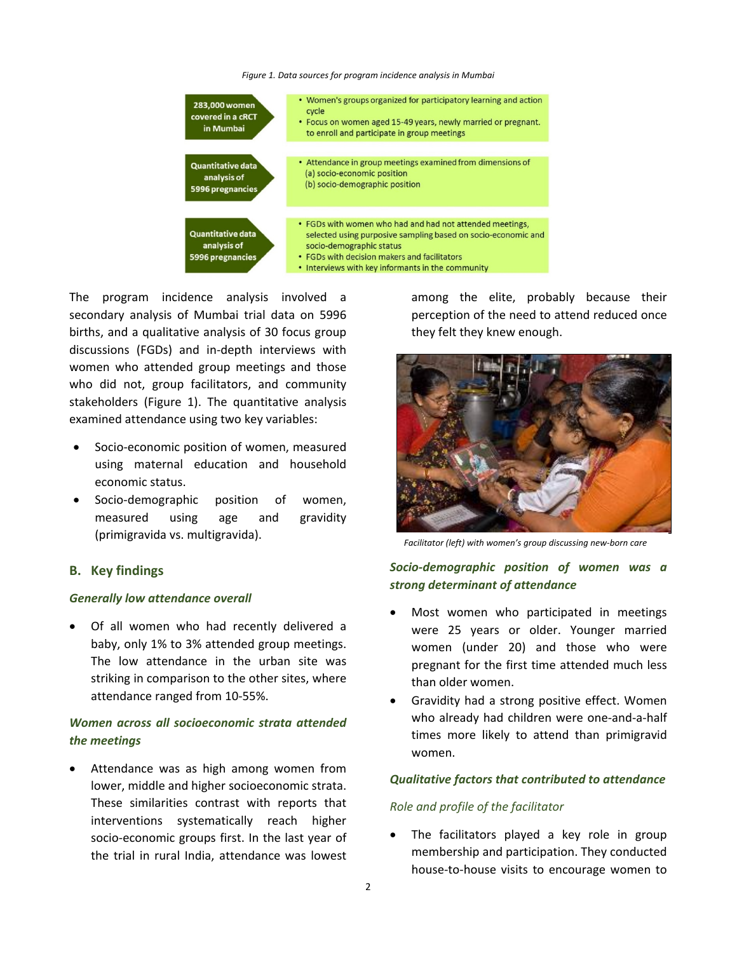*Figure 1. Data sources for program incidence analysis in Mumbai*



The program incidence analysis involved a secondary analysis of Mumbai trial data on 5996 births, and a qualitative analysis of 30 focus group discussions (FGDs) and in-depth interviews with women who attended group meetings and those who did not, group facilitators, and community stakeholders (Figure 1). The quantitative analysis examined attendance using two key variables:

- Socio-economic position of women, measured using maternal education and household economic status.
- Socio-demographic position of women, measured using age and gravidity (primigravida vs. multigravida).

#### **B. Key findings**

#### *Generally low attendance overall*

• Of all women who had recently delivered a baby, only 1% to 3% attended group meetings. The low attendance in the urban site was striking in comparison to the other sites, where attendance ranged from 10-55%.

# *Women across all socioeconomic strata attended the meetings*

Attendance was as high among women from lower, middle and higher socioeconomic strata. These similarities contrast with reports that interventions systematically reach higher socio-economic groups first. In the last year of the trial in rural India, attendance was lowest

among the elite, probably because their perception of the need to attend reduced once they felt they knew enough.



*Facilitator (left) with women's group discussing new-born care*

*Socio-demographic position of women was a strong determinant of attendance*

- Most women who participated in meetings were 25 years or older. Younger married women (under 20) and those who were pregnant for the first time attended much less than older women.
- Gravidity had a strong positive effect. Women who already had children were one-and-a-half times more likely to attend than primigravid women.

#### *Qualitative factors that contributed to attendance*

#### *Role and profile of the facilitator*

The facilitators played a key role in group membership and participation. They conducted house-to-house visits to encourage women to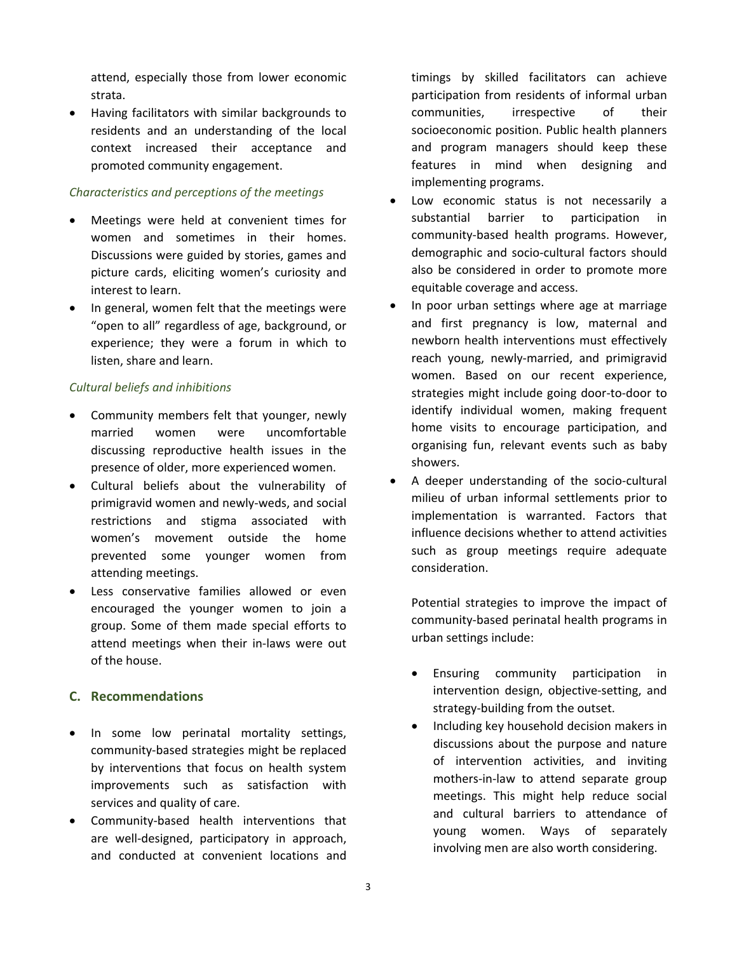attend, especially those from lower economic strata.

• Having facilitators with similar backgrounds to residents and an understanding of the local context increased their acceptance and promoted community engagement.

## *Characteristics and perceptions of the meetings*

- Meetings were held at convenient times for women and sometimes in their homes. Discussions were guided by stories, games and picture cards, eliciting women's curiosity and interest to learn.
- In general, women felt that the meetings were "open to all" regardless of age, background, or experience; they were a forum in which to listen, share and learn.

### *Cultural beliefs and inhibitions*

- Community members felt that younger, newly married women were uncomfortable discussing reproductive health issues in the presence of older, more experienced women.
- Cultural beliefs about the vulnerability of primigravid women and newly-weds, and social restrictions and stigma associated with women's movement outside the home prevented some younger women from attending meetings.
- Less conservative families allowed or even encouraged the younger women to join a group. Some of them made special efforts to attend meetings when their in-laws were out of the house.

# **C. Recommendations**

- In some low perinatal mortality settings, community-based strategies might be replaced by interventions that focus on health system improvements such as satisfaction with services and quality of care.
- Community-based health interventions that are well-designed, participatory in approach, and conducted at convenient locations and

timings by skilled facilitators can achieve participation from residents of informal urban communities, irrespective of their socioeconomic position. Public health planners and program managers should keep these features in mind when designing and implementing programs.

- Low economic status is not necessarily a substantial barrier to participation in community-based health programs. However, demographic and socio-cultural factors should also be considered in order to promote more equitable coverage and access.
- In poor urban settings where age at marriage and first pregnancy is low, maternal and newborn health interventions must effectively reach young, newly-married, and primigravid women. Based on our recent experience, strategies might include going door-to-door to identify individual women, making frequent home visits to encourage participation, and organising fun, relevant events such as baby showers.
- A deeper understanding of the socio-cultural milieu of urban informal settlements prior to implementation is warranted. Factors that influence decisions whether to attend activities such as group meetings require adequate consideration.

Potential strategies to improve the impact of community-based perinatal health programs in urban settings include:

- Ensuring community participation in intervention design, objective-setting, and strategy-building from the outset.
- Including key household decision makers in discussions about the purpose and nature of intervention activities, and inviting mothers-in-law to attend separate group meetings. This might help reduce social and cultural barriers to attendance of young women. Ways of separately involving men are also worth considering.